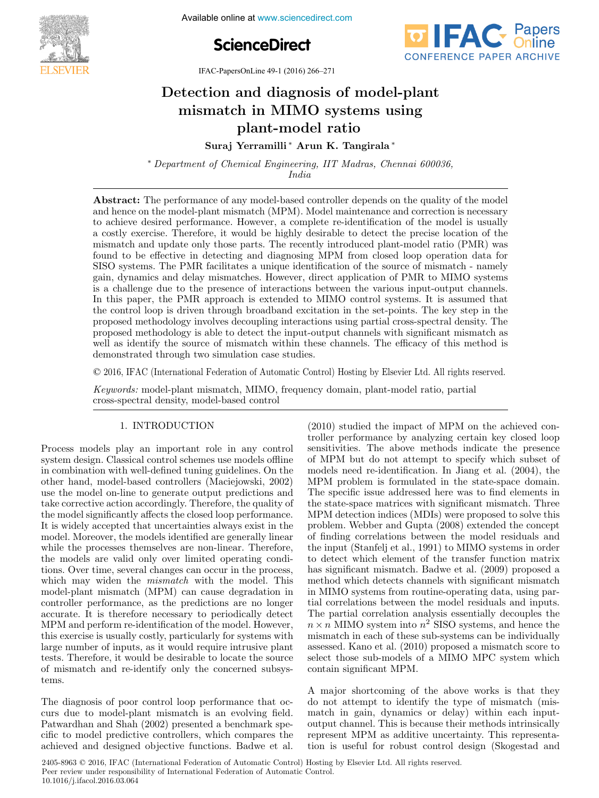

**February 1-5, 2016. Incremation Available online at www.sciencedirect.com** 





IFAC-PapersOnLine 49-1 (2016) 266–271

#### Detection and diagnosis of model-plant mismatch in MIMO systems using plant-model ratio plant-model ratio  $D_{\text{2}}$ Detection and diagnosis of model-plant mismatch in MIMO systems using Detection and diagnosis of model-plant mismatch in MIMO systems using plant-model ratio

Suraj Yerramilli ∗ Arun K. Tangirala ∗ Suraj Yerramilli ∗ Arun K. Tangirala ∗ Suraj Yerramilli ∗ Arun K. Tangirala ∗ Suraj Yerramili ∗ Arun K. Tangirala ∗ Arun K. Tangirala ∗ Arun K. Tangirala ∗ Arun K. Tangirala ∗ Arun K. Tangi

 $India$ India ∗ Department of Chemical Engineering, IIT Madras, Chennai 600036, ∗ Department of Chemical Engineering, IIT Madras, Chennai 600036, India India  $n_{data}$ 

India

Abstract. The performance of any model-based controller depends on the quality of the model<br>and hence on the model-plant mismatch (MPM). Model maintenance and correction is necessary to achieve desired performance. However, a complete re-identification of the model is usually a costly exercise. Therefore, it would be highly desirable to detect the precise location of the a costly exercise. Therefore, it would be fighly desirable to detect the precise focation of the mismatch and update only those parts. The recently introduced plant-model ratio (PMR) was found to be effective in detecting and diagnosing MPM from closed loop operation data for SISO systems. The PMR facilitates a unique identification of the source of mismatch - namely gain, dynamics and delay mismatches. However, direct application of PMR to MIMO systems gain, dynamics and detay instituted. However, direct application of 1 MH to MIMO systems<br>is a challenge due to the presence of interactions between the various input-output channels. In this paper, the PMR approach is extended to MIMO control systems. It is assumed that the control loop is driven through broadband excitation in the set-points. The key step in the proposed methodology involves decoupling interactions using partial cross-spectral density. The proposed methodology involves decoupling interactions using partial cross-spectral density. The proposed methodology involves accouping increasions using partial cross-spectral density. The<br>proposed methodology is able to detect the input-output channels with significant mismatch as proposed methodology is able to detect the input-output channels with significant institute as<br>well as identify the source of mismatch within these channels. The efficacy of this method is demonstrated through two simulation case studies. Abstract: The performance of any model-based controller depends on the quality of the model well as identify the source of mismatch within these channels. The efficacy of this method is<br>demonstrated through two simulation associatedies and hence on the model-plant mismatch  $(MPM)$ . Model maintenance and correction is necessary to achieve desired performance. However, a complete re-identification of the model is usually a costly exercise. Therefore, it would be highly desirable to detect the precise location of the mismatch and update only those parts. The recently introduced plant-model ratio (PMR) was found to be effective in detecting and diagnosing  $MPM$  from closed loop operation data for found to be effective in diagnosism and diagnosism of the source of mismatch - namely gain, dynamics and delay mismatches. However, direct application of PMR to MIMO systems is a challenge due to the presence of interactions between the various input-output channels.<br> in this paper, the PMK approach is extended to MIMO control systems. It is assumed that the control loop is driven through broadband excitation in the set-points. The key step in the proposed methodology involves decoupling interactions using partial cross-spectral density. The proposed methodology is able to detect the input-output channels with significant mismatch as

© 2016, IFAC (International Federation of Automatic Control) Hosting by Elsevier Ltd. All rights reserved. keywords: model-plant mismatch, MIMO, frequency domain, MIMO, frequency domain, plant-model ratio, particle

Keywords: model-plant mismatch, MIMO, frequency domain, plant-model ratio, partial cross-spectral density, model-based control cross-spectral density, model-based control Keywords: model-plant mismatch, MIMO, frequency domain, plant-model ratio, partial Keywords: model-plant mismatch, MIMO, frequency domain, plant-model ratio, partial cross-spectral density, model-based control

#### 1. INTRODUCTION 1. INTRODUCTION 1. INTRODUCTION 1. INTRODUCTION

Process models play an important role in any control system design. Classical control schemes use models offline in combination with well-defined tuning guidelines. On the system design. Classical control schemes use models offline in combination with well-defined tuning guidelines. On the m combination with wen defined tuning guidenties. On the other hand, model-based controllers (Maciejowski, 2002)  $t_{\text{max}}$ , model based controllers ( $\text{max}$ <sub>1</sub>,  $\text{2002}$ ) use the model on-line to generate output predictions and the model of the corrective action accordingly. Therefore, the quality of the model significantly affects the closed loop performance. It is widely accepted that uncertainties always exist in the which which all the models identified are generally linear. models moreover, the models identified are generally initial while the processes themselves are non-linear. Therefore, while the processes themselves are non inteat. Therefore, the models are valid only over limited operating conditions. Over time, several changes can occur in the process, which may widen the *mismatch* with the model. This which may widen the *mismatch* with the model. This model-plant mismatch (MPM) can cause degradation in  $\frac{1}{2}$  is the predictions are no longer eductions are no longer accurate. It is therefore necessary to periodically detect decedrate: This exercise is usually to performany decedration. This interests is used to perform re-identification of the model. However, In the distribution of the model. However, this exercise is usually costly, particularly for systems with the state is usually costly, particularly tor systems with<br>large number of inputs, as it would require intrusive plant tests. Therefore, it would be desirable to locate the source of mismatch and re-identify only the concerned subsys-tems. of mismatch and re-identify only the concerned subsystems. tems. Process models play an important role in any control system design. Classical control schemes use models offline in combination with well-defined tuning guidelines. On the other hand, model-based controllers (Maciejowski, 2002) use the model on-line to generate output predictions and take corrective action accordingly. Therefore, the quality of the model significantly affects the closed loop performance.<br>Let It is widely accepted that uncertainties always exist in the model. Moreover, the models identified are generally linear while the processes themselves are non-linear. Therefore, the models are valid only over limited operating conditions. Over time, several changes can occur in the process, which may widen the *mismatch* with the model. This model-plant mismatch (MPM) can cause degradation in controller performance, as the predictions are no longer accurate. It is therefore necessary to periodically detect MPM and perform re-identification of the model. However, this exercise is usually costly, particularly for systems with large number of inputs, as it would require intrusive plant tests. Therefore, it would be desirable to locate the source of mismatch and re-identify only the concerned subsystems.

The diagnosis of poor control loop performance that oc-The diagnosis of poor control toop performance that oc Patwardhan and Shah (2002) presented a benchmark sper atwardman and shain (2002) presented a senemiative specific to model predictive controllers, which compares the achieved and designed objective functions. Badwe et al. achieved and designed objective functions. Badwe et al. The diagnosis of poor control loop performance that occurs due to model-plant mismatch is an evolving field. Patwardhan and Shah (2002) presented a benchmark specific to model predictive controllers, which compares the achieved and designed objective functions. Badwe et al. (2010) studied the impact of MPM on the achieved con-(2010) statuted the impact of the indicate the above conof MPM but do not attempt to specify which subset of  $\frac{1}{2}$  and  $\frac{1}{2}$  and  $\frac{1}{2}$  and  $\frac{1}{2}$  and  $\frac{1}{2}$  and  $\frac{1}{2}$  are sensitivities. The above methods indicate the presence behaviours. The above memods material energy which subset of MPM but do not attempt to specify which subset of of MTM particle models need re-identification. In Jiang et al. (2004), the models need to hermineation. In stang of all (2004), the MPM problem is formulated in the state-space domain. The specific issue addressed here was to find elements in The specific issue detection increased to the state-space matrices with significant mismatch. Three me state space matrices with significant instructor. Three MPM detection indices (MDIs) were proposed to solve this of finding correlation matter (mDis) were proposed to sorrelation that  $(2008)$  extended the concept problem. Webset and etapia (2000) extended the emergic of matrix correlations between the moder residuals and the input (Stanfelj et al., 1991) to MIMO systems in order has modern to detect which element of the transfer function matrix has significant mismatch. Badwe et al. (2009) proposed a mas significant mismatch. Batwe et al. (2009) proposed a<br>method which detects channels with significant mismatch model which detects channels with significant instruction<br>in MIMO systems from routine-operating data, using par-In the partial correlations between the model residuals and inputs. n and the partial correlation analysis essentially decouples the partial correlation analysis essentially decouples the The partial correlation analysis essentially decouples the  $n \times n$  MIMO system into  $n^2$  SISO systems, and hence the  $n \times n$  MIMO system into  $n^2$  SISO systems, and hence the mismatch in each of these sub-systems can be individually mismatch in each of these sub-systems can be individually<br>assessed. Kano et al. (2010) proposed a mismatch score to assessed. Hand of all (2010) proposed a misinated score to select those sub-models of a MIMO MPC system which contain significant MPM. contain significant MPM.  $(2010)$  studied the impact of MPM on the achieved con-(2010) studied the impact of MPM on the achieved controller performance by analyzing certain key closed loop sensitivities. The above methods indicate the presence of MPM but do not attempt to specify which subset of models need re-identification. In Jiang et al. (2004), the MPM problem is formulated in the state-space domain. The specific issue addressed here was to find elements in the state-space matrices with significant mismatch. Three MPM detection indices (MDIs) were proposed to solve this problem. Webber and Gupta (2008) extended the concept of finding correlations between the model residuals and the input (Stanfelj et al., 1991) to MIMO systems in order to detect which element of the transfer function matrix has significant mismatch. Badwe et al. (2009) proposed a method which detects channels with significant mismatch in MIMO systems from routine-operating data, using partial correlations between the model residuals and inputs. assessed. Kano et al. (2010) proposed a mismatch score to select those sub-models of a MIMO MPC system which contain significant MPM.

A major shortcoming of the above works is that they It may obtain got the above works is that they do not attempt to identify the type of mismatch (misnot divempe to delay) and type of misinated. This match in gain, dynamics or delay) within each input $r_{\text{max}}$  matter in gain, dynamics of delay) whilm each input output channel. This is because their methods intrinsically output channel. This is because their methods intrinsically<br>represent MPM as additive uncertainty. This representation is useful for robust control design (Skogestad and tion is useful for robust control design (Skogestad and A major shortcoming of the above works is that they do not attempt to identify the type of mismatch (mismatch in gain, dynamics or delay) within each inputoutput channel. This is because their methods intrinsically represent MPM as additive uncertainty. This representation is useful for robust control design (Skogestad and

2405-8963 © 2016, IFAC (International Federation of Automatic Control) Hosting by Elsevier Ltd. All rights reserved. **Peer review under responsibility of International Federation of Automatic Control.** 10.1016/j.ifacol.2016.03.064 **Co Co Copyright Copyright Copyright Copyright Copyright Copyright Copyright Copyright Copyright Copyright Copyright Copyright Copyright Copyright Copyright Copyright Copyright Copyright Copyright Copyright Copyright C**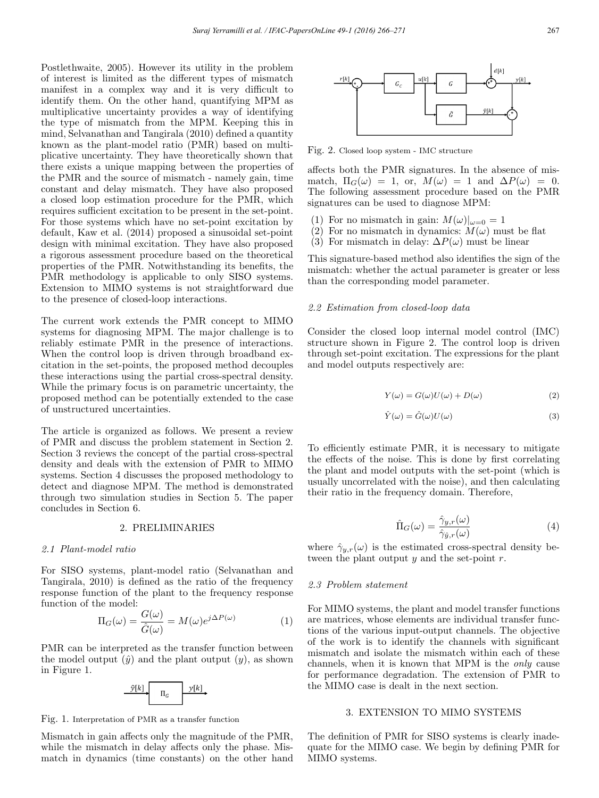Postlethwaite, 2005). However its utility in the problem of interest is limited as the different types of mismatch manifest in a complex way and it is very difficult to identify them. On the other hand, quantifying MPM as multiplicative uncertainty provides a way of identifying the type of mismatch from the MPM. Keeping this in mind, Selvanathan and Tangirala (2010) defined a quantity known as the plant-model ratio (PMR) based on multiplicative uncertainty. They have theoretically shown that there exists a unique mapping between the properties of the PMR and the source of mismatch - namely gain, time constant and delay mismatch. They have also proposed a closed loop estimation procedure for the PMR, which requires sufficient excitation to be present in the set-point. For those systems which have no set-point excitation by default, Kaw et al. (2014) proposed a sinusoidal set-point design with minimal excitation. They have also proposed a rigorous assessment procedure based on the theoretical properties of the PMR. Notwithstanding its benefits, the PMR methodology is applicable to only SISO systems. Extension to MIMO systems is not straightforward due to the presence of closed-loop interactions.

The current work extends the PMR concept to MIMO systems for diagnosing MPM. The major challenge is to reliably estimate PMR in the presence of interactions. When the control loop is driven through broadband excitation in the set-points, the proposed method decouples these interactions using the partial cross-spectral density. While the primary focus is on parametric uncertainty, the proposed method can be potentially extended to the case of unstructured uncertainties.

The article is organized as follows. We present a review of PMR and discuss the problem statement in Section 2. Section 3 reviews the concept of the partial cross-spectral density and deals with the extension of PMR to MIMO systems. Section 4 discusses the proposed methodology to detect and diagnose MPM. The method is demonstrated through two simulation studies in Section 5. The paper concludes in Section 6.

### 2. PRELIMINARIES

#### 2.1 Plant-model ratio

For SISO systems, plant-model ratio (Selvanathan and Tangirala, 2010) is defined as the ratio of the frequency response function of the plant to the frequency response function of the model:

$$
\Pi_G(\omega) = \frac{G(\omega)}{\hat{G}(\omega)} = M(\omega)e^{j\Delta P(\omega)} \tag{1}
$$

PMR can be interpreted as the transfer function between the model output  $(\hat{y})$  and the plant output  $(y)$ , as shown in Figure 1.



Fig. 1. Interpretation of PMR as a transfer function

Mismatch in gain affects only the magnitude of the PMR, while the mismatch in delay affects only the phase. Mismatch in dynamics (time constants) on the other hand



Fig. 2. Closed loop system - IMC structure

affects both the PMR signatures. In the absence of mismatch,  $\Pi_G(\omega) = 1$ , or,  $M(\omega) = 1$  and  $\Delta P(\omega) = 0$ . The following assessment procedure based on the PMR signatures can be used to diagnose MPM:

- (1) For no mismatch in gain:  $M(\omega)|_{\omega=0} = 1$
- (2) For no mismatch in dynamics:  $M(\omega)$  must be flat
- (3) For mismatch in delay:  $\Delta P(\omega)$  must be linear

This signature-based method also identifies the sign of the mismatch: whether the actual parameter is greater or less than the corresponding model parameter.

#### 2.2 Estimation from closed-loop data

Consider the closed loop internal model control (IMC) structure shown in Figure 2. The control loop is driven through set-point excitation. The expressions for the plant and model outputs respectively are:

$$
Y(\omega) = G(\omega)U(\omega) + D(\omega)
$$
 (2)

$$
\hat{Y}(\omega) = \hat{G}(\omega)U(\omega)
$$
\n(3)

To efficiently estimate PMR, it is necessary to mitigate the effects of the noise. This is done by first correlating the plant and model outputs with the set-point (which is usually uncorrelated with the noise), and then calculating their ratio in the frequency domain. Therefore,

$$
\hat{\Pi}_G(\omega) = \frac{\hat{\gamma}_{y,r}(\omega)}{\hat{\gamma}_{\hat{y},r}(\omega)}\tag{4}
$$

where  $\hat{\gamma}_{y,r}(\omega)$  is the estimated cross-spectral density between the plant output  $y$  and the set-point  $r$ .

#### 2.3 Problem statement

For MIMO systems, the plant and model transfer functions are matrices, whose elements are individual transfer functions of the various input-output channels. The objective of the work is to identify the channels with significant mismatch and isolate the mismatch within each of these channels, when it is known that MPM is the only cause for performance degradation. The extension of PMR to the MIMO case is dealt in the next section.

#### 3. EXTENSION TO MIMO SYSTEMS

The definition of PMR for SISO systems is clearly inadequate for the MIMO case. We begin by defining PMR for MIMO systems.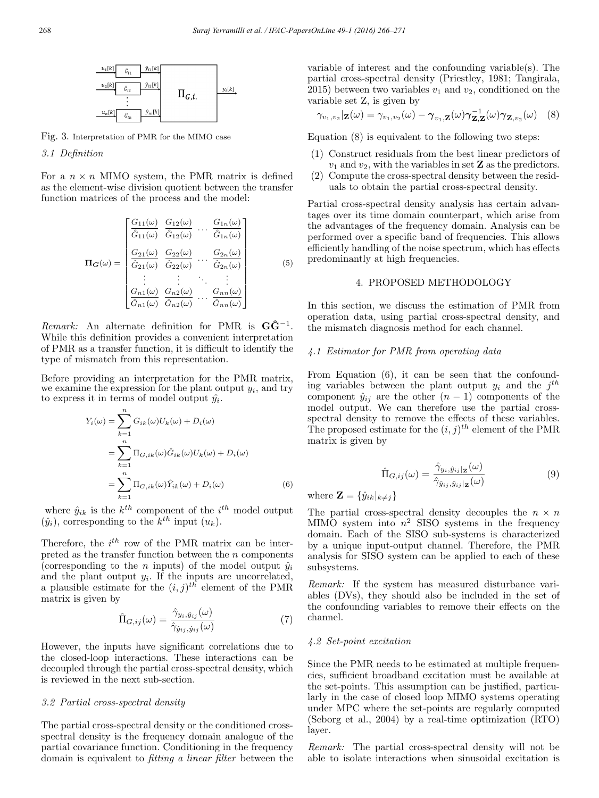

Fig. 3. Interpretation of PMR for the MIMO case

3.1 Definition

For a  $n \times n$  MIMO system, the PMR matrix is defined as the element-wise division quotient between the transfer function matrices of the process and the model:

$$
\Pi_{G}(\omega) = \begin{bmatrix}\nG_{11}(\omega) & G_{12}(\omega) & \cdots & G_{1n}(\omega) \\
\hat{G}_{11}(\omega) & \hat{G}_{12}(\omega) & \cdots & \hat{G}_{1n}(\omega) \\
\vdots & \vdots & \ddots & \vdots \\
G_{21}(\omega) & G_{22}(\omega) & \cdots & G_{2n}(\omega) \\
\vdots & \vdots & \ddots & \vdots \\
G_{n1}(\omega) & G_{n2}(\omega) & \cdots & G_{nn}(\omega) \\
\vdots & \vdots & \ddots & \vdots \\
G_{n1}(\omega) & \hat{G}_{n2}(\omega) & \cdots & \hat{G}_{nn}(\omega)\n\end{bmatrix}
$$
\n(5)

Remark: An alternate definition for PMR is  $G\hat{G}^{-1}$ . While this definition provides a convenient interpretation of PMR as a transfer function, it is difficult to identify the type of mismatch from this representation.

Before providing an interpretation for the PMR matrix, we examine the expression for the plant output  $y_i$ , and try to express it in terms of model output  $\hat{y}_i$ .

$$
Y_i(\omega) = \sum_{k=1}^n G_{ik}(\omega)U_k(\omega) + D_i(\omega)
$$
  
= 
$$
\sum_{k=1}^n \Pi_{G,i k}(\omega) \hat{G}_{ik}(\omega) U_k(\omega) + D_i(\omega)
$$
  
= 
$$
\sum_{k=1}^n \Pi_{G,i k}(\omega) \hat{Y}_{ik}(\omega) + D_i(\omega)
$$
(6)

where  $\hat{y}_{ik}$  is the  $k^{th}$  component of the  $i^{th}$  model output  $(\hat{y}_i)$ , corresponding to the  $k^{th}$  input  $(u_k)$ .

Therefore, the  $i^{th}$  row of the PMR matrix can be interpreted as the transfer function between the  $n$  components (corresponding to the *n* inputs) of the model output  $\hat{y}_i$ and the plant output  $y_i$ . If the inputs are uncorrelated, a plausible estimate for the  $(i, j)$ <sup>th</sup> element of the PMR matrix is given by

$$
\hat{\Pi}_{G,ij}(\omega) = \frac{\hat{\gamma}_{y_i,\hat{y}_{ij}}(\omega)}{\hat{\gamma}_{\hat{y}_{ij},\hat{y}_{ij}}(\omega)}\tag{7}
$$

However, the inputs have significant correlations due to the closed-loop interactions. These interactions can be decoupled through the partial cross-spectral density, which is reviewed in the next sub-section.

### 3.2 Partial cross-spectral density

The partial cross-spectral density or the conditioned crossspectral density is the frequency domain analogue of the partial covariance function. Conditioning in the frequency domain is equivalent to fitting a linear filter between the variable of interest and the confounding variable(s). The partial cross-spectral density (Priestley, 1981; Tangirala, 2015) between two variables  $v_1$  and  $v_2$ , conditioned on the variable set Z, is given by

$$
\gamma_{v_1,v_2}|\mathbf{z}(\omega) = \gamma_{v_1,v_2}(\omega) - \gamma_{v_1,\mathbf{Z}}(\omega)\gamma_{\mathbf{Z},\mathbf{Z}}^{-1}(\omega)\gamma_{\mathbf{Z},v_2}(\omega) \quad (8)
$$

Equation (8) is equivalent to the following two steps:

- (1) Construct residuals from the best linear predictors of  $v_1$  and  $v_2$ , with the variables in set **Z** as the predictors.
- (2) Compute the cross-spectral density between the residuals to obtain the partial cross-spectral density.

Partial cross-spectral density analysis has certain advantages over its time domain counterpart, which arise from the advantages of the frequency domain. Analysis can be performed over a specific band of frequencies. This allows efficiently handling of the noise spectrum, which has effects predominantly at high frequencies.

# 4. PROPOSED METHODOLOGY

In this section, we discuss the estimation of PMR from operation data, using partial cross-spectral density, and the mismatch diagnosis method for each channel.

### 4.1 Estimator for PMR from operating data

From Equation (6), it can be seen that the confounding variables between the plant output  $y_i$  and the j<sup>th</sup> component  $\hat{y}_{ij}$  are the other  $(n-1)$  components of the model output. We can therefore use the partial crossspectral density to remove the effects of these variables. The proposed estimate for the  $(i, j)^{th}$  element of the PMR matrix is given by

$$
\hat{\Pi}_{G,ij}(\omega) = \frac{\hat{\gamma}_{y_i,\hat{y}_{ij}|\mathbf{z}}(\omega)}{\hat{\gamma}_{\hat{y}_{ij},\hat{y}_{ij}|\mathbf{z}}(\omega)}\tag{9}
$$

where  $\mathbf{Z} = \{\hat{y}_{ik}|_{k \neq i}\}$ 

The partial cross-spectral density decouples the  $n \times n$ MIMO system into  $n^2$  SISO systems in the frequency domain. Each of the SISO sub-systems is characterized by a unique input-output channel. Therefore, the PMR analysis for SISO system can be applied to each of these subsystems.

Remark: If the system has measured disturbance variables (DVs), they should also be included in the set of the confounding variables to remove their effects on the channel.

## 4.2 Set-point excitation

Since the PMR needs to be estimated at multiple frequencies, sufficient broadband excitation must be available at the set-points. This assumption can be justified, particularly in the case of closed loop MIMO systems operating under MPC where the set-points are regularly computed (Seborg et al., 2004) by a real-time optimization (RTO) layer.

Remark: The partial cross-spectral density will not be able to isolate interactions when sinusoidal excitation is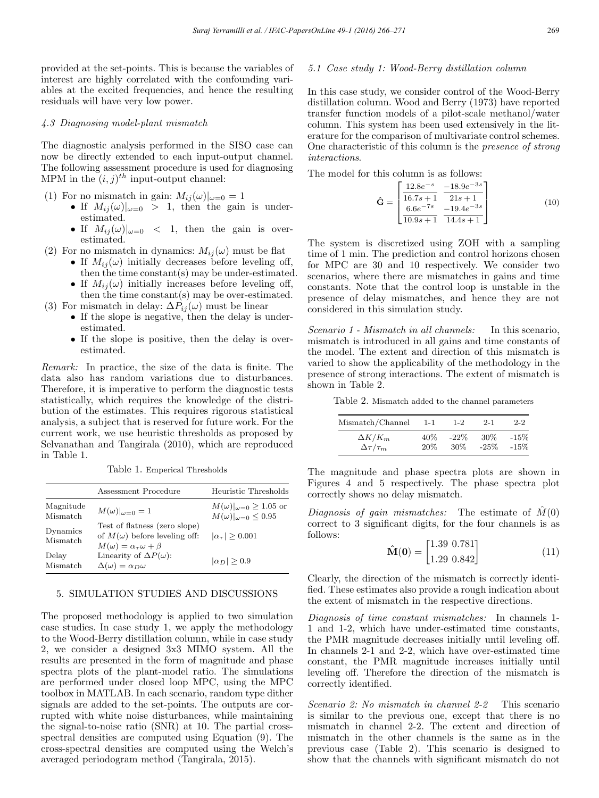provided at the set-points. This is because the variables of interest are highly correlated with the confounding variables at the excited frequencies, and hence the resulting residuals will have very low power.

## 4.3 Diagnosing model-plant mismatch

The diagnostic analysis performed in the SISO case can now be directly extended to each input-output channel. The following assessment procedure is used for diagnosing MPM in the  $(i, j)^{th}$  input-output channel:

- (1) For no mismatch in gain:  $M_{ii}(\omega)|_{\omega=0} = 1$ 
	- If  $M_{ij}(\omega)|_{\omega=0} > 1$ , then the gain is underestimated.
	- If  $M_{ij}(\omega)|_{\omega=0}$  < 1, then the gain is overestimated.
- (2) For no mismatch in dynamics:  $M_{ij}(\omega)$  must be flat
	- If  $M_{ij}(\omega)$  initially decreases before leveling off, then the time constant(s) may be under-estimated.
	- If  $M_{ii}(\omega)$  initially increases before leveling off, then the time constant(s) may be over-estimated.
- (3) For mismatch in delay:  $\Delta P_{ij}(\omega)$  must be linear
	- If the slope is negative, then the delay is underestimated.
	- If the slope is positive, then the delay is overestimated.

Remark: In practice, the size of the data is finite. The data also has random variations due to disturbances. Therefore, it is imperative to perform the diagnostic tests statistically, which requires the knowledge of the distribution of the estimates. This requires rigorous statistical analysis, a subject that is reserved for future work. For the current work, we use heuristic thresholds as proposed by Selvanathan and Tangirala (2010), which are reproduced in Table 1.

Table 1. Emperical Thresholds

|                       | Assessment Procedure                                                                                              | Heuristic Thresholds                                                     |
|-----------------------|-------------------------------------------------------------------------------------------------------------------|--------------------------------------------------------------------------|
| Magnitude<br>Mismatch | $M(\omega) _{\omega=0}=1$                                                                                         | $M(\omega) _{\omega=0} \ge 1.05$ or<br>$M(\omega) _{\omega=0} \leq 0.95$ |
| Dynamics<br>Mismatch  | Test of flatness (zero slope)<br>of $M(\omega)$ before leveling off:<br>$M(\omega) = \alpha_{\tau}\omega + \beta$ | $ \alpha_{\tau}  > 0.001$                                                |
| Delay<br>Mismatch     | Linearity of $\Delta P(\omega)$ :<br>$\Delta(\omega) = \alpha_D \omega$                                           | $ \alpha_D  > 0.9$                                                       |

#### 5. SIMULATION STUDIES AND DISCUSSIONS

The proposed methodology is applied to two simulation case studies. In case study 1, we apply the methodology to the Wood-Berry distillation column, while in case study 2, we consider a designed 3x3 MIMO system. All the results are presented in the form of magnitude and phase spectra plots of the plant-model ratio. The simulations are performed under closed loop MPC, using the MPC toolbox in MATLAB. In each scenario, random type dither signals are added to the set-points. The outputs are corrupted with white noise disturbances, while maintaining the signal-to-noise ratio (SNR) at 10. The partial crossspectral densities are computed using Equation (9). The cross-spectral densities are computed using the Welch's averaged periodogram method (Tangirala, 2015).

#### 5.1 Case study 1: Wood-Berry distillation column

In this case study, we consider control of the Wood-Berry distillation column. Wood and Berry (1973) have reported transfer function models of a pilot-scale methanol/water column. This system has been used extensively in the literature for the comparison of multivariate control schemes. One characteristic of this column is the presence of strong interactions.

The model for this column is as follows:

$$
\hat{\mathbf{G}} = \begin{bmatrix} \frac{12.8e^{-s}}{16.7s+1} & \frac{-18.9e^{-3s}}{21s+1} \\ \frac{6.6e^{-7s}}{10.9s+1} & \frac{-19.4e^{-3s}}{14.4s+1} \end{bmatrix}
$$
(10)

The system is discretized using ZOH with a sampling time of 1 min. The prediction and control horizons chosen for MPC are 30 and 10 respectively. We consider two scenarios, where there are mismatches in gains and time constants. Note that the control loop is unstable in the presence of delay mismatches, and hence they are not considered in this simulation study.

Scenario 1 - Mismatch in all channels: In this scenario, mismatch is introduced in all gains and time constants of the model. The extent and direction of this mismatch is varied to show the applicability of the methodology in the presence of strong interactions. The extent of mismatch is shown in Table 2.

Table 2. Mismatch added to the channel parameters

| Mismatch/Channel       | $1-1$  | $1-2$   | $2 - 1$ | $2-2$  |
|------------------------|--------|---------|---------|--------|
| $\Delta K/K_m$         | $40\%$ | $-22\%$ | .30%    | $-15%$ |
| $\Delta \tau / \tau_m$ | $20\%$ | 30\%    | $-25\%$ | $-15%$ |

The magnitude and phase spectra plots are shown in Figures 4 and 5 respectively. The phase spectra plot correctly shows no delay mismatch.

Diagnosis of gain mismatches: The estimate of  $\tilde{M}(0)$ correct to 3 significant digits, for the four channels is as follows:

$$
\hat{\mathbf{M}}(\mathbf{0}) = \begin{bmatrix} 1.39 & 0.781 \\ 1.29 & 0.842 \end{bmatrix}
$$
 (11)

Clearly, the direction of the mismatch is correctly identified. These estimates also provide a rough indication about the extent of mismatch in the respective directions.

Diagnosis of time constant mismatches: In channels 1- 1 and 1-2, which have under-estimated time constants, the PMR magnitude decreases initially until leveling off. In channels 2-1 and 2-2, which have over-estimated time constant, the PMR magnitude increases initially until leveling off. Therefore the direction of the mismatch is correctly identified.

Scenario 2: No mismatch in channel 2-2 This scenario is similar to the previous one, except that there is no mismatch in channel 2-2. The extent and direction of mismatch in the other channels is the same as in the previous case (Table 2). This scenario is designed to show that the channels with significant mismatch do not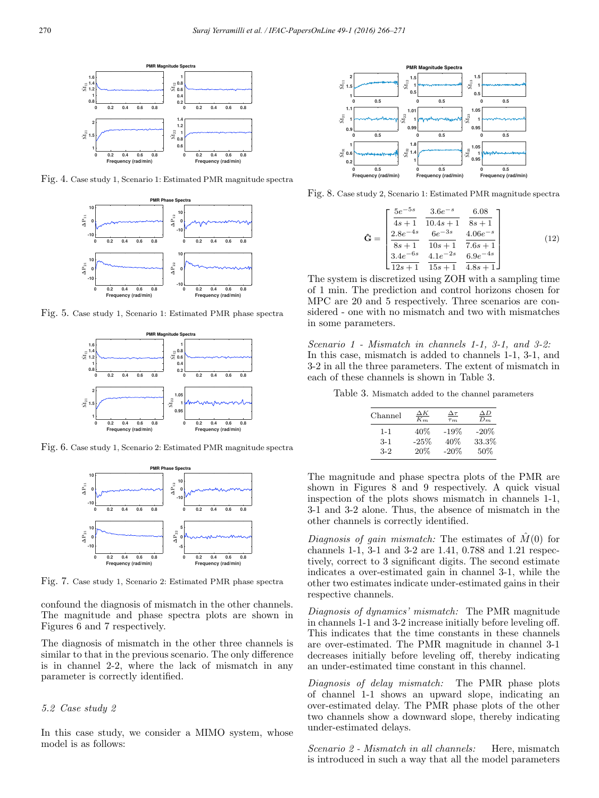

Fig. 4. Case study 1, Scenario 1: Estimated PMR magnitude spectra



Fig. 5. Case study 1, Scenario 1: Estimated PMR phase spectra



Fig. 6. Case study 1, Scenario 2: Estimated PMR magnitude spectra



Fig. 7. Case study 1, Scenario 2: Estimated PMR phase spectra

confound the diagnosis of mismatch in the other channels. The magnitude and phase spectra plots are shown in Figures 6 and 7 respectively.

The diagnosis of mismatch in the other three channels is similar to that in the previous scenario. The only difference is in channel 2-2, where the lack of mismatch in any parameter is correctly identified.

# 5.2 Case study 2

In this case study, we consider a MIMO system, whose model is as follows:



Fig. 8. Case study 2, Scenario 1: Estimated PMR magnitude spectra

$$
\hat{\mathbf{G}} = \begin{bmatrix} \frac{5e^{-5s}}{4s+1} & \frac{3.6e^{-s}}{10.4s+1} & \frac{6.08}{8s+1} \\ \frac{2.8e^{-4s}}{8s+1} & \frac{6e^{-3s}}{10s+1} & \frac{4.06e^{-s}}{7.6s+1} \\ \frac{3.4e^{-6s}}{12s+1} & \frac{4.1e^{-2s}}{15s+1} & \frac{6.9e^{-4s}}{4.8s+1} \end{bmatrix}
$$
(12)

The system is discretized using ZOH with a sampling time of 1 min. The prediction and control horizons chosen for MPC are 20 and 5 respectively. Three scenarios are considered - one with no mismatch and two with mismatches in some parameters.

Scenario 1 - Mismatch in channels 1-1, 3-1, and 3-2: In this case, mismatch is added to channels 1-1, 3-1, and 3-2 in all the three parameters. The extent of mismatch in each of these channels is shown in Table 3.

Table 3. Mismatch added to the channel parameters

| Channel | ΔΚ<br>$K_m$ | $\Delta \tau$<br>$\tau_m$ | $\Delta D$<br>$D_m$ |
|---------|-------------|---------------------------|---------------------|
| $1 - 1$ | 40\%        | $-19%$                    | $-20\%$             |
| $3-1$   | $-25%$      | 40%                       | 33.3%               |
| $3-2$   | 20%         | $-20%$                    | 50%                 |
|         |             |                           |                     |

The magnitude and phase spectra plots of the PMR are shown in Figures 8 and 9 respectively. A quick visual inspection of the plots shows mismatch in channels 1-1, 3-1 and 3-2 alone. Thus, the absence of mismatch in the other channels is correctly identified.

Diagnosis of gain mismatch: The estimates of  $M(0)$  for channels 1-1, 3-1 and 3-2 are 1.41, 0.788 and 1.21 respectively, correct to 3 significant digits. The second estimate indicates a over-estimated gain in channel 3-1, while the other two estimates indicate under-estimated gains in their respective channels.

Diagnosis of dynamics' mismatch: The PMR magnitude in channels 1-1 and 3-2 increase initially before leveling off. This indicates that the time constants in these channels are over-estimated. The PMR magnitude in channel 3-1 decreases initially before leveling off, thereby indicating an under-estimated time constant in this channel.

Diagnosis of delay mismatch: The PMR phase plots of channel 1-1 shows an upward slope, indicating an over-estimated delay. The PMR phase plots of the other two channels show a downward slope, thereby indicating under-estimated delays.

Scenario 2 - Mismatch in all channels: Here, mismatch is introduced in such a way that all the model parameters